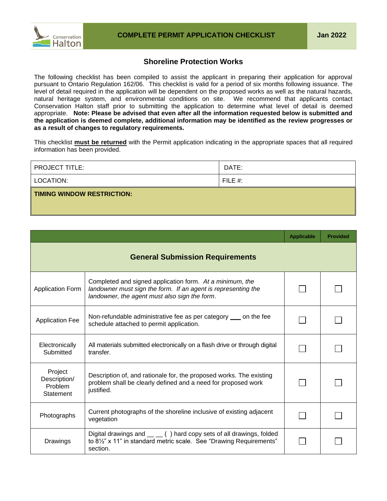

## **Shoreline Protection Works**

The following checklist has been compiled to assist the applicant in preparing their application for approval pursuant to Ontario Regulation 162/06. This checklist is valid for a period of six months following issuance. The level of detail required in the application will be dependent on the proposed works as well as the natural hazards, natural heritage system, and environmental conditions on site. We recommend that applicants contact Conservation Halton staff prior to submitting the application to determine what level of detail is deemed appropriate. **Note: Please be advised that even after all the information requested below is submitted and the application is deemed complete, additional information may be identified as the review progresses or as a result of changes to regulatory requirements.**

This checklist **must be returned** with the Permit application indicating in the appropriate spaces that all required information has been provided.

| <b>PROJECT TITLE:</b>      | DATE:      |
|----------------------------|------------|
| LOCATION:                  | FILE $#$ : |
| TIMING WINDOW RESTRICTION: |            |

|                                                 |                                                                                                                                                                            | <b>Applicable</b> | <b>Provided</b> |
|-------------------------------------------------|----------------------------------------------------------------------------------------------------------------------------------------------------------------------------|-------------------|-----------------|
| <b>General Submission Requirements</b>          |                                                                                                                                                                            |                   |                 |
| <b>Application Form</b>                         | Completed and signed application form. At a minimum, the<br>landowner must sign the form. If an agent is representing the<br>landowner, the agent must also sign the form. |                   |                 |
| <b>Application Fee</b>                          | Non-refundable administrative fee as per category <u>on</u> on the fee<br>schedule attached to permit application.                                                         |                   |                 |
| Electronically<br>Submitted                     | All materials submitted electronically on a flash drive or through digital<br>transfer.                                                                                    |                   |                 |
| Project<br>Description/<br>Problem<br>Statement | Description of, and rationale for, the proposed works. The existing<br>problem shall be clearly defined and a need for proposed work<br>justified.                         |                   |                 |
| Photographs                                     | Current photographs of the shoreline inclusive of existing adjacent<br>vegetation                                                                                          |                   |                 |
| Drawings                                        | Digital drawings and $\_\_$ () hard copy sets of all drawings, folded<br>to 8 <sup>1/2</sup> " x 11" in standard metric scale. See "Drawing Requirements"<br>section.      |                   |                 |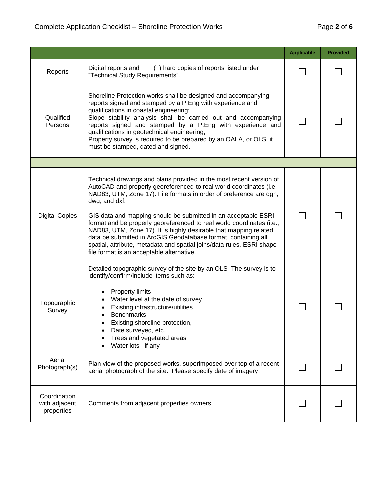|                                             |                                                                                                                                                                                                                                                                                                                                                                                                                                                                                                                                                                                                                                          | <b>Applicable</b> | <b>Provided</b> |
|---------------------------------------------|------------------------------------------------------------------------------------------------------------------------------------------------------------------------------------------------------------------------------------------------------------------------------------------------------------------------------------------------------------------------------------------------------------------------------------------------------------------------------------------------------------------------------------------------------------------------------------------------------------------------------------------|-------------------|-----------------|
| Reports                                     | Digital reports and ___ () hard copies of reports listed under<br>"Technical Study Requirements".                                                                                                                                                                                                                                                                                                                                                                                                                                                                                                                                        |                   |                 |
| Qualified<br>Persons                        | Shoreline Protection works shall be designed and accompanying<br>reports signed and stamped by a P.Eng with experience and<br>qualifications in coastal engineering;<br>Slope stability analysis shall be carried out and accompanying<br>reports signed and stamped by a P.Eng with experience and<br>qualifications in geotechnical engineering;<br>Property survey is required to be prepared by an OALA, or OLS, it<br>must be stamped, dated and signed.                                                                                                                                                                            |                   |                 |
|                                             |                                                                                                                                                                                                                                                                                                                                                                                                                                                                                                                                                                                                                                          |                   |                 |
| <b>Digital Copies</b>                       | Technical drawings and plans provided in the most recent version of<br>AutoCAD and properly georeferenced to real world coordinates (i.e.<br>NAD83, UTM, Zone 17). File formats in order of preference are dgn,<br>dwg, and dxf.<br>GIS data and mapping should be submitted in an acceptable ESRI<br>format and be properly georeferenced to real world coordinates (i.e.,<br>NAD83, UTM, Zone 17). It is highly desirable that mapping related<br>data be submitted in ArcGIS Geodatabase format, containing all<br>spatial, attribute, metadata and spatial joins/data rules. ESRI shape<br>file format is an acceptable alternative. |                   |                 |
| Topographic<br>Survey                       | Detailed topographic survey of the site by an OLS The survey is to<br>identify/confirm/include items such as:<br><b>Property limits</b><br>Water level at the date of survey<br>Existing infrastructure/utilities<br><b>Benchmarks</b><br>Existing shoreline protection,<br>Date surveyed, etc.<br>Trees and vegetated areas<br>Water lots, if any                                                                                                                                                                                                                                                                                       |                   |                 |
| Aerial<br>Photograph(s)                     | Plan view of the proposed works, superimposed over top of a recent<br>aerial photograph of the site. Please specify date of imagery.                                                                                                                                                                                                                                                                                                                                                                                                                                                                                                     |                   |                 |
| Coordination<br>with adjacent<br>properties | Comments from adjacent properties owners                                                                                                                                                                                                                                                                                                                                                                                                                                                                                                                                                                                                 |                   |                 |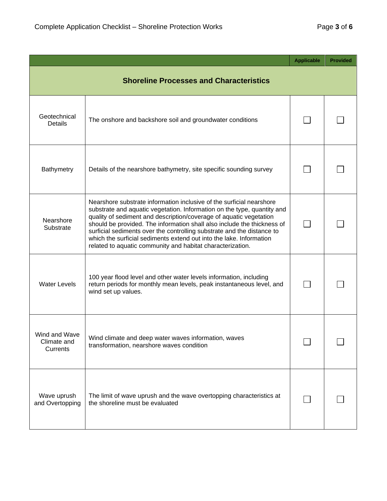|                                                |                                                                                                                                                                                                                                                                                                                                                                                                                                                                                                                 | <b>Applicable</b> | <b>Provided</b> |
|------------------------------------------------|-----------------------------------------------------------------------------------------------------------------------------------------------------------------------------------------------------------------------------------------------------------------------------------------------------------------------------------------------------------------------------------------------------------------------------------------------------------------------------------------------------------------|-------------------|-----------------|
| <b>Shoreline Processes and Characteristics</b> |                                                                                                                                                                                                                                                                                                                                                                                                                                                                                                                 |                   |                 |
| Geotechnical<br><b>Details</b>                 | The onshore and backshore soil and groundwater conditions                                                                                                                                                                                                                                                                                                                                                                                                                                                       |                   |                 |
| Bathymetry                                     | Details of the nearshore bathymetry, site specific sounding survey                                                                                                                                                                                                                                                                                                                                                                                                                                              |                   |                 |
| Nearshore<br>Substrate                         | Nearshore substrate information inclusive of the surficial nearshore<br>substrate and aquatic vegetation. Information on the type, quantity and<br>quality of sediment and description/coverage of aquatic vegetation<br>should be provided. The information shall also include the thickness of<br>surficial sediments over the controlling substrate and the distance to<br>which the surficial sediments extend out into the lake. Information<br>related to aquatic community and habitat characterization. |                   |                 |
| <b>Water Levels</b>                            | 100 year flood level and other water levels information, including<br>return periods for monthly mean levels, peak instantaneous level, and<br>wind set up values.                                                                                                                                                                                                                                                                                                                                              |                   |                 |
| Wind and Wave<br>Climate and<br>Currents       | Wind climate and deep water waves information, waves<br>transformation, nearshore waves condition                                                                                                                                                                                                                                                                                                                                                                                                               |                   |                 |
| Wave uprush<br>and Overtopping                 | The limit of wave uprush and the wave overtopping characteristics at<br>the shoreline must be evaluated                                                                                                                                                                                                                                                                                                                                                                                                         |                   |                 |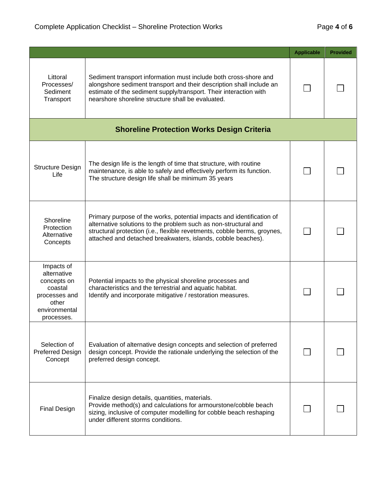|                                                                                                              |                                                                                                                                                                                                                                                                                      | <b>Applicable</b> | <b>Provided</b> |
|--------------------------------------------------------------------------------------------------------------|--------------------------------------------------------------------------------------------------------------------------------------------------------------------------------------------------------------------------------------------------------------------------------------|-------------------|-----------------|
| Littoral<br>Processes/<br>Sediment<br>Transport                                                              | Sediment transport information must include both cross-shore and<br>alongshore sediment transport and their description shall include an<br>estimate of the sediment supply/transport. Their interaction with<br>nearshore shoreline structure shall be evaluated.                   |                   |                 |
|                                                                                                              | <b>Shoreline Protection Works Design Criteria</b>                                                                                                                                                                                                                                    |                   |                 |
| <b>Structure Design</b><br>Life                                                                              | The design life is the length of time that structure, with routine<br>maintenance, is able to safely and effectively perform its function.<br>The structure design life shall be minimum 35 years                                                                                    |                   |                 |
| Shoreline<br>Protection<br>Alternative<br>Concepts                                                           | Primary purpose of the works, potential impacts and identification of<br>alternative solutions to the problem such as non-structural and<br>structural protection (i.e., flexible revetments, cobble berms, groynes,<br>attached and detached breakwaters, islands, cobble beaches). |                   |                 |
| Impacts of<br>alternative<br>concepts on<br>coastal<br>processes and<br>other<br>environmental<br>processes. | Potential impacts to the physical shoreline processes and<br>characteristics and the terrestrial and aquatic habitat.<br>Identify and incorporate mitigative / restoration measures.                                                                                                 |                   |                 |
| Selection of<br>Preferred Design<br>Concept                                                                  | Evaluation of alternative design concepts and selection of preferred<br>design concept. Provide the rationale underlying the selection of the<br>preferred design concept.                                                                                                           |                   |                 |
| <b>Final Design</b>                                                                                          | Finalize design details, quantities, materials.<br>Provide method(s) and calculations for armourstone/cobble beach<br>sizing, inclusive of computer modelling for cobble beach reshaping<br>under different storms conditions.                                                       |                   |                 |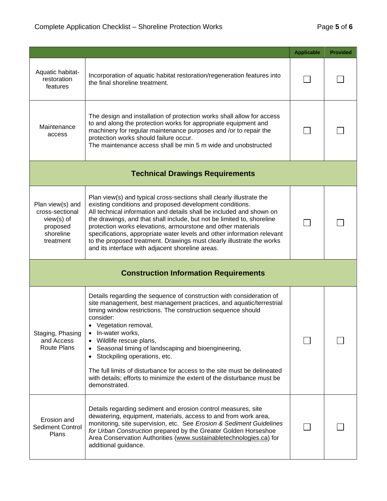|                                                                                           |                                                                                                                                                                                                                                                                                                                                                                                                                                                                                                                                                                               | <b>Applicable</b> | <b>Provided</b> |
|-------------------------------------------------------------------------------------------|-------------------------------------------------------------------------------------------------------------------------------------------------------------------------------------------------------------------------------------------------------------------------------------------------------------------------------------------------------------------------------------------------------------------------------------------------------------------------------------------------------------------------------------------------------------------------------|-------------------|-----------------|
| Aquatic habitat-<br>restoration<br>features                                               | Incorporation of aquatic habitat restoration/regeneration features into<br>the final shoreline treatment.                                                                                                                                                                                                                                                                                                                                                                                                                                                                     |                   |                 |
| Maintenance<br>access                                                                     | The design and installation of protection works shall allow for access<br>to and along the protection works for appropriate equipment and<br>machinery for regular maintenance purposes and /or to repair the<br>protection works should failure occur.<br>The maintenance access shall be min 5 m wide and unobstructed                                                                                                                                                                                                                                                      |                   |                 |
|                                                                                           | <b>Technical Drawings Requirements</b>                                                                                                                                                                                                                                                                                                                                                                                                                                                                                                                                        |                   |                 |
| Plan view(s) and<br>cross-sectional<br>$view(s)$ of<br>proposed<br>shoreline<br>treatment | Plan view(s) and typical cross-sections shall clearly illustrate the<br>existing conditions and proposed development conditions.<br>All technical information and details shall be included and shown on<br>the drawings, and that shall include, but not be limited to, shoreline<br>protection works elevations, armourstone and other materials<br>specifications, appropriate water levels and other information relevant<br>to the proposed treatment. Drawings must clearly illustrate the works<br>and its interface with adjacent shoreline areas.                    |                   |                 |
| <b>Construction Information Requirements</b>                                              |                                                                                                                                                                                                                                                                                                                                                                                                                                                                                                                                                                               |                   |                 |
| Staging, Phasing<br>and Access<br>Route Plans                                             | Details regarding the sequence of construction with consideration of<br>site management, best management practices, and aquatic/terrestrial<br>timing window restrictions. The construction sequence should<br>consider:<br>• Vegetation removal,<br>• In-water works,<br>Wildlife rescue plans,<br>Seasonal timing of landscaping and bioengineering,<br>$\bullet$<br>• Stockpiling operations, etc.<br>The full limits of disturbance for access to the site must be delineated<br>with details; efforts to minimize the extent of the disturbance must be<br>demonstrated. |                   |                 |
| Erosion and<br><b>Sediment Control</b><br>Plans                                           | Details regarding sediment and erosion control measures, site<br>dewatering, equipment, materials, access to and from work area,<br>monitoring, site supervision, etc. See Erosion & Sediment Guidelines<br>for Urban Construction prepared by the Greater Golden Horseshoe<br>Area Conservation Authorities (www.sustainabletechnologies.ca) for<br>additional guidance.                                                                                                                                                                                                     |                   |                 |